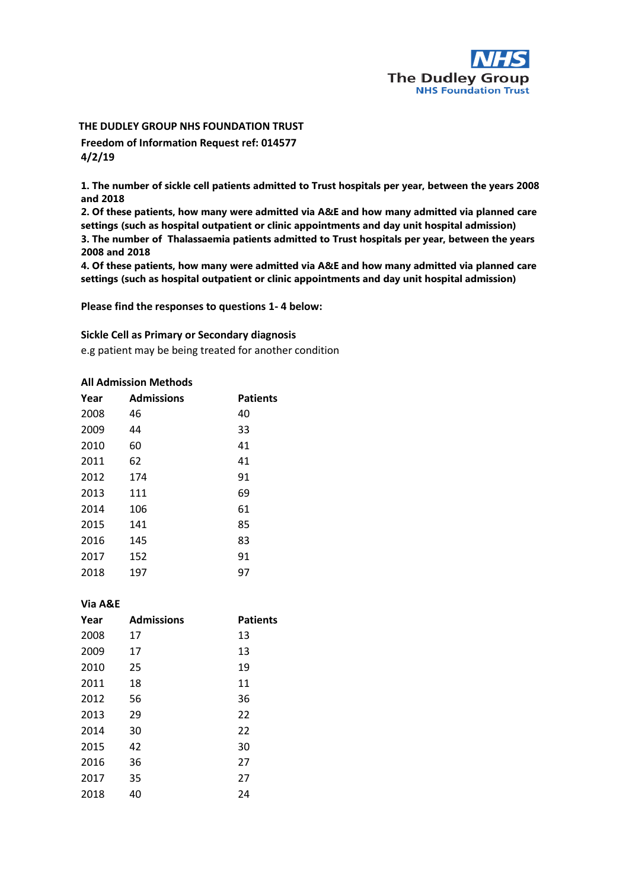

# **THE DUDLEY GROUP NHS FOUNDATION TRUST Freedom of Information Request ref: 014577 4/2/19**

**1. The number of sickle cell patients admitted to Trust hospitals per year, between the years 2008 and 2018** 

**2. Of these patients, how many were admitted via A&E and how many admitted via planned care settings (such as hospital outpatient or clinic appointments and day unit hospital admission) 3. The number of Thalassaemia patients admitted to Trust hospitals per year, between the years 2008 and 2018** 

**4. Of these patients, how many were admitted via A&E and how many admitted via planned care settings (such as hospital outpatient or clinic appointments and day unit hospital admission)**

**Please find the responses to questions 1- 4 below:**

### **Sickle Cell as Primary or Secondary diagnosis**

e.g patient may be being treated for another condition

#### **All Admission Methods**

| Year | <b>Admissions</b> | <b>Patients</b> |
|------|-------------------|-----------------|
| 2008 | 46                | 40              |
| 2009 | 44                | 33              |
| 2010 | 60                | 41              |
| 2011 | 62                | 41              |
| 2012 | 174               | 91              |
| 2013 | 111               | 69              |
| 2014 | 106               | 61              |
| 2015 | 141               | 85              |
| 2016 | 145               | 83              |
| 2017 | 152               | 91              |
| 2018 | 197               | 97              |

### **Via A&E**

| <b>Admissions</b> | <b>Patients</b> |
|-------------------|-----------------|
| 17                | 13              |
| 17                | 13              |
| 25                | 19              |
| 18                | 11              |
| 56                | 36              |
| 29                | 22              |
| 30                | 22              |
| 42                | 30              |
| 36                | 27              |
| 35                | 27              |
| 40                | 24              |
|                   |                 |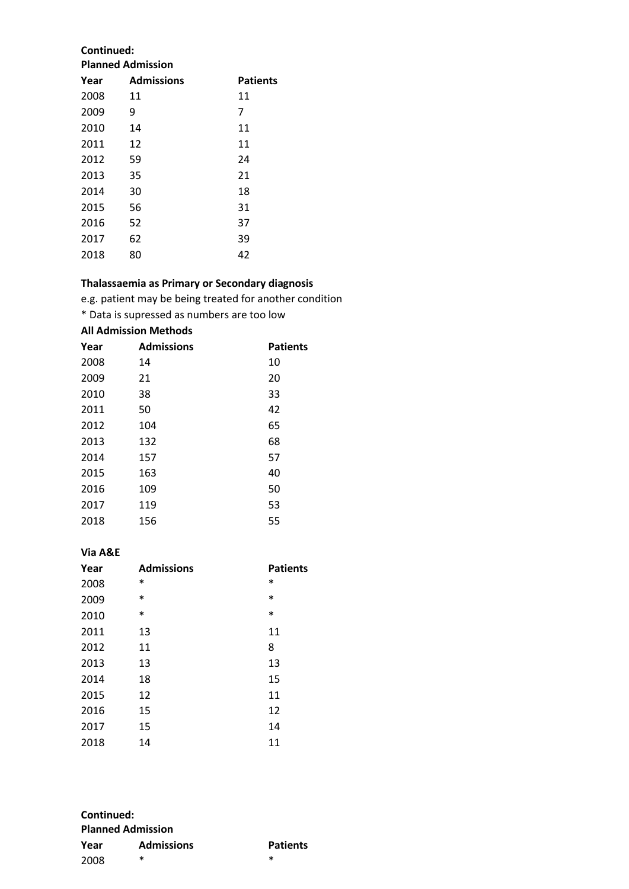### **Continued: Planned Admission**

| Year | <b>Admissions</b> | <b>Patients</b> |
|------|-------------------|-----------------|
| 2008 | 11                | 11              |
| 2009 | 9                 | 7               |
| 2010 | 14                | 11              |
| 2011 | 12                | 11              |
| 2012 | 59                | 24              |
| 2013 | 35                | 21              |
| 2014 | 30                | 18              |
| 2015 | 56                | 31              |
| 2016 | 52                | 37              |
| 2017 | 62                | 39              |
| 2018 | 80                | 42              |

## **Thalassaemia as Primary or Secondary diagnosis**

e.g. patient may be being treated for another condition

\* Data is supressed as numbers are too low

# **All Admission Methods**

| Year | <b>Admissions</b> | <b>Patients</b> |
|------|-------------------|-----------------|
| 2008 | 14                | 10              |
| 2009 | 21                | 20              |
| 2010 | 38                | 33              |
| 2011 | 50                | 42              |
| 2012 | 104               | 65              |
| 2013 | 132               | 68              |
| 2014 | 157               | 57              |
| 2015 | 163               | 40              |
| 2016 | 109               | 50              |
| 2017 | 119               | 53              |
| 2018 | 156               | 55              |

# **Via A&E**

| Year | <b>Admissions</b> | <b>Patients</b> |
|------|-------------------|-----------------|
| 2008 | $\ast$            | $\ast$          |
| 2009 | $\ast$            | $\ast$          |
| 2010 | *                 | $\ast$          |
| 2011 | 13                | 11              |
| 2012 | 11                | 8               |
| 2013 | 13                | 13              |
| 2014 | 18                | 15              |
| 2015 | 12                | 11              |
| 2016 | 15                | 12              |
| 2017 | 15                | 14              |
| 2018 | 14                | 11              |

| Continued:<br><b>Planned Admission</b> |        |        |
|----------------------------------------|--------|--------|
|                                        |        |        |
| 2008                                   | $\ast$ | $\ast$ |